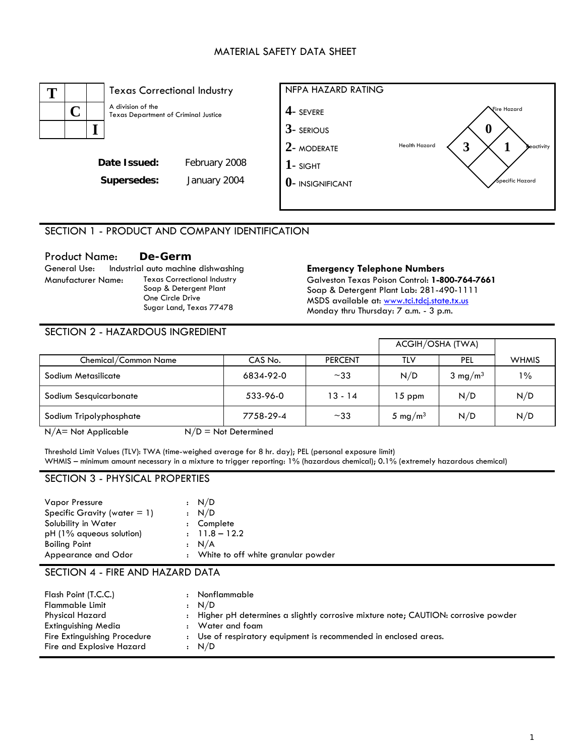#### MATERIAL SAFETY DATA SHEET



## SECTION 1 - PRODUCT AND COMPANY IDENTIFICATION

# **Product Name:** De-Germ<br> **General Use:** Industrial auto machine dishwashing

Manufacturer Name: Texas Correctional Industry Soap & Detergent Plant One Circle Drive Sugar Land, Texas 77478

#### **Emergency Telephone Numbers**

Galveston Texas Poison Control: **1-800-764-7661** Soap & Detergent Plant Lab: 281-490-1111 MSDS available at: www.tci.tdcj.state.tx.us Monday thru Thursday: 7 a.m. - 3 p.m.

#### SECTION 2 - HAZARDOUS INGREDIENT

|                         |           |                | ACGIH/OSHA (TWA)    |                    |              |
|-------------------------|-----------|----------------|---------------------|--------------------|--------------|
| Chemical/Common Name    | CAS No.   | <b>PERCENT</b> | TLV                 | <b>PEL</b>         | <b>WHMIS</b> |
| Sodium Metasilicate     | 6834-92-0 | $~1$ $~33$     | N/D                 | $3 \text{ mg/m}^3$ | $1\%$        |
| Sodium Sesquicarbonate  | 533-96-0  | $13 - 14$      | $15$ ppm            | N/D                | N/D          |
| Sodium Tripolyphosphate | 7758-29-4 | $~1$ $~33$     | 5 mg/m <sup>3</sup> | N/D                | N/D          |
|                         |           |                |                     |                    |              |

 $N/A$  = Not Applicable  $N/D$  = Not Determined

Threshold Limit Values (TLV): TWA (time-weighed average for 8 hr. day); PEL (personal exposure limit) WHMIS – minimum amount necessary in a mixture to trigger reporting: 1% (hazardous chemical); 0.1% (extremely hazardous chemical)

#### SECTION 3 - PHYSICAL PROPERTIES

| Vapor Pressure<br>Specific Gravity (water $= 1$ )<br>Solubility in Water<br>pH (1% aqueous solution)<br><b>Boiling Point</b> | : N/D<br>: N/D<br>: Complete<br>$: 11.8 - 12.2$<br>: N/A |
|------------------------------------------------------------------------------------------------------------------------------|----------------------------------------------------------|
| Appearance and Odor                                                                                                          | : White to off white granular powder                     |

#### SECTION 4 - FIRE AND HAZARD DATA

| Flash Point (T.C.C.)<br><b>Flammable Limit</b>                                                      |              | Nonflammable<br>: N/D                                                                                                                                                            |
|-----------------------------------------------------------------------------------------------------|--------------|----------------------------------------------------------------------------------------------------------------------------------------------------------------------------------|
| Physical Hazard<br>Extinguishing Media<br>Fire Extinguishing Procedure<br>Fire and Explosive Hazard | $\mathbf{r}$ | Higher pH determines a slightly corrosive mixture note; CAUTION: corrosive powder<br>Water and foam<br>: Use of respiratory equipment is recommended in enclosed areas.<br>: N/D |